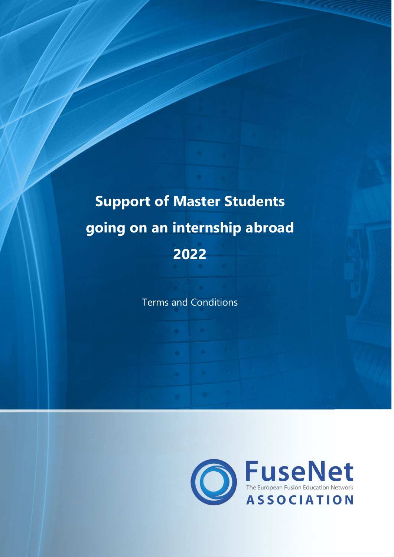# **Support of Master Students going on an internship abroad 2022**

Terms and Conditions

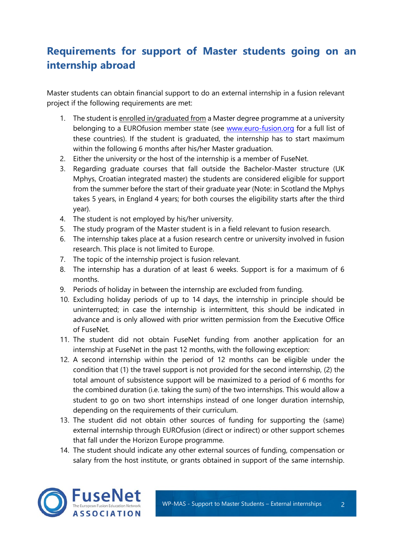## **Requirements for support of Master students going on an internship abroad**

Master students can obtain financial support to do an external internship in a fusion relevant project if the following requirements are met:

- 1. The student is enrolled in/graduated from a Master degree programme at a university belonging to a EUROfusion member state (see [www.euro-fusion.org](http://www.euro-fusion.org/) for a full list of these countries). If the student is graduated, the internship has to start maximum within the following 6 months after his/her Master graduation.
- 2. Either the university or the host of the internship is a member of FuseNet.
- 3. Regarding graduate courses that fall outside the Bachelor-Master structure (UK Mphys, Croatian integrated master) the students are considered eligible for support from the summer before the start of their graduate year (Note: in Scotland the Mphys takes 5 years, in England 4 years; for both courses the eligibility starts after the third year).
- 4. The student is not employed by his/her university.
- 5. The study program of the Master student is in a field relevant to fusion research.
- 6. The internship takes place at a fusion research centre or university involved in fusion research. This place is not limited to Europe.
- 7. The topic of the internship project is fusion relevant.
- 8. The internship has a duration of at least 6 weeks. Support is for a maximum of 6 months.
- 9. Periods of holiday in between the internship are excluded from funding.
- 10. Excluding holiday periods of up to 14 days, the internship in principle should be uninterrupted; in case the internship is intermittent, this should be indicated in advance and is only allowed with prior written permission from the Executive Office of FuseNet.
- 11. The student did not obtain FuseNet funding from another application for an internship at FuseNet in the past 12 months, with the following exception:
- 12. A second internship within the period of 12 months can be eligible under the condition that (1) the travel support is not provided for the second internship, (2) the total amount of subsistence support will be maximized to a period of 6 months for the combined duration (i.e. taking the sum) of the two internships. This would allow a student to go on two short internships instead of one longer duration internship, depending on the requirements of their curriculum.
- 13. The student did not obtain other sources of funding for supporting the (same) external internship through EUROfusion (direct or indirect) or other support schemes that fall under the Horizon Europe programme.
- 14. The student should indicate any other external sources of funding, compensation or salary from the host institute, or grants obtained in support of the same internship.

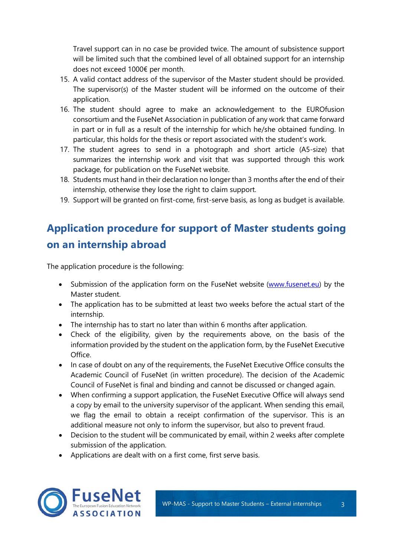Travel support can in no case be provided twice. The amount of subsistence support will be limited such that the combined level of all obtained support for an internship does not exceed 1000€ per month.

- 15. A valid contact address of the supervisor of the Master student should be provided. The supervisor(s) of the Master student will be informed on the outcome of their application.
- 16. The student should agree to make an acknowledgement to the EUROfusion consortium and the FuseNet Association in publication of any work that came forward in part or in full as a result of the internship for which he/she obtained funding. In particular, this holds for the thesis or report associated with the student's work.
- 17. The student agrees to send in a photograph and short article (A5-size) that summarizes the internship work and visit that was supported through this work package, for publication on the FuseNet website.
- 18. Students must hand in their declaration no longer than 3 months after the end of their internship, otherwise they lose the right to claim support.
- 19. Support will be granted on first-come, first-serve basis, as long as budget is available.

# **Application procedure for support of Master students going on an internship abroad**

The application procedure is the following:

- Submission of the application form on the FuseNet website [\(www.fusenet.eu\)](http://www.fusenet.eu/) by the Master student.
- The application has to be submitted at least two weeks before the actual start of the internship.
- The internship has to start no later than within 6 months after application.
- Check of the eligibility, given by the requirements above, on the basis of the information provided by the student on the application form, by the FuseNet Executive Office.
- In case of doubt on any of the requirements, the FuseNet Executive Office consults the Academic Council of FuseNet (in written procedure). The decision of the Academic Council of FuseNet is final and binding and cannot be discussed or changed again.
- When confirming a support application, the FuseNet Executive Office will always send a copy by email to the university supervisor of the applicant. When sending this email, we flag the email to obtain a receipt confirmation of the supervisor. This is an additional measure not only to inform the supervisor, but also to prevent fraud.
- Decision to the student will be communicated by email, within 2 weeks after complete submission of the application.
- Applications are dealt with on a first come, first serve basis.

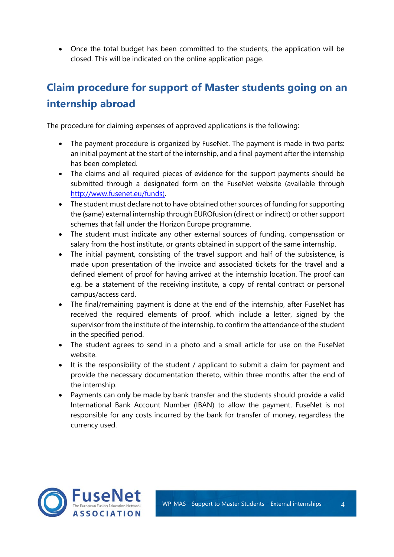• Once the total budget has been committed to the students, the application will be closed. This will be indicated on the online application page.

# **Claim procedure for support of Master students going on an internship abroad**

The procedure for claiming expenses of approved applications is the following:

- The payment procedure is organized by FuseNet. The payment is made in two parts: an initial payment at the start of the internship, and a final payment after the internship has been completed.
- The claims and all required pieces of evidence for the support payments should be submitted through a designated form on the FuseNet website (available through [http://www.fusenet.eu/funds\).](http://www.fusenet.eu/funds))
- The student must declare not to have obtained other sources of funding for supporting the (same) external internship through EUROfusion (direct or indirect) or other support schemes that fall under the Horizon Europe programme.
- The student must indicate any other external sources of funding, compensation or salary from the host institute, or grants obtained in support of the same internship.
- The initial payment, consisting of the travel support and half of the subsistence, is made upon presentation of the invoice and associated tickets for the travel and a defined element of proof for having arrived at the internship location. The proof can e.g. be a statement of the receiving institute, a copy of rental contract or personal campus/access card.
- The final/remaining payment is done at the end of the internship, after FuseNet has received the required elements of proof, which include a letter, signed by the supervisor from the institute of the internship, to confirm the attendance of the student in the specified period.
- The student agrees to send in a photo and a small article for use on the FuseNet website.
- It is the responsibility of the student / applicant to submit a claim for payment and provide the necessary documentation thereto, within three months after the end of the internship.
- Payments can only be made by bank transfer and the students should provide a valid International Bank Account Number (IBAN) to allow the payment. FuseNet is not responsible for any costs incurred by the bank for transfer of money, regardless the currency used.

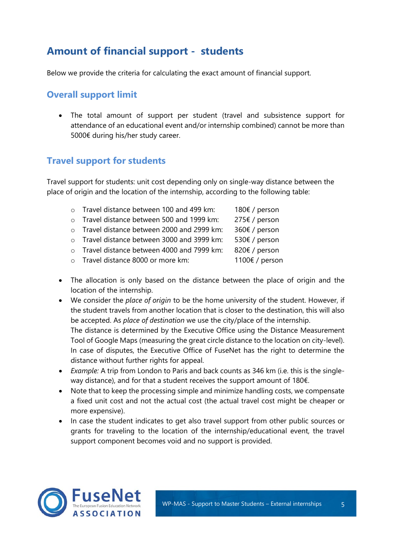## **Amount of financial support - students**

Below we provide the criteria for calculating the exact amount of financial support.

#### **Overall support limit**

• The total amount of support per student (travel and subsistence support for attendance of an educational event and/or internship combined) cannot be more than 5000€ during his/her study career.

#### **Travel support for students**

Travel support for students: unit cost depending only on single-way distance between the place of origin and the location of the internship, according to the following table:

| o Travel distance between 100 and 499 km:   | 180€ / person  |
|---------------------------------------------|----------------|
| o Travel distance between 500 and 1999 km:  | 275€ / person  |
| o Travel distance between 2000 and 2999 km: | 360€ / person  |
| o Travel distance between 3000 and 3999 km: | 530€ / person  |
| o Travel distance between 4000 and 7999 km: | 820€ / person  |
| o Travel distance 8000 or more km:          | 1100€ / person |
|                                             |                |

- The allocation is only based on the distance between the place of origin and the location of the internship.
- We consider the *place of origin* to be the home university of the student. However, if the student travels from another location that is closer to the destination, this will also be accepted. As *place of destination* we use the city/place of the internship. The distance is determined by the Executive Office using the Distance Measurement Tool of Google Maps (measuring the great circle distance to the location on city-level). In case of disputes, the Executive Office of FuseNet has the right to determine the distance without further rights for appeal.
- *Example:* A trip from London to Paris and back counts as 346 km (i.e. this is the singleway distance), and for that a student receives the support amount of 180€.
- Note that to keep the processing simple and minimize handling costs, we compensate a fixed unit cost and not the actual cost (the actual travel cost might be cheaper or more expensive).
- In case the student indicates to get also travel support from other public sources or grants for traveling to the location of the internship/educational event, the travel support component becomes void and no support is provided.